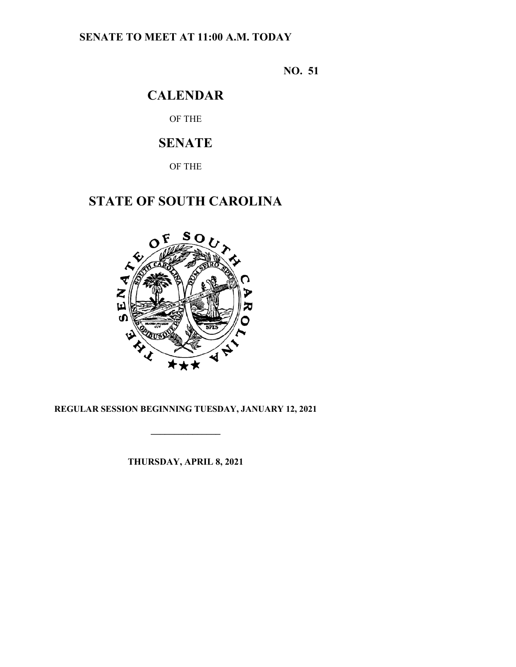## **SENATE TO MEET AT 11:00 A.M. TODAY**

**NO. 51**

## **CALENDAR**

OF THE

## **SENATE**

OF THE

# **STATE OF SOUTH CAROLINA**



## **REGULAR SESSION BEGINNING TUESDAY, JANUARY 12, 2021**

**\_\_\_\_\_\_\_\_\_\_\_\_\_\_\_**

**THURSDAY, APRIL 8, 2021**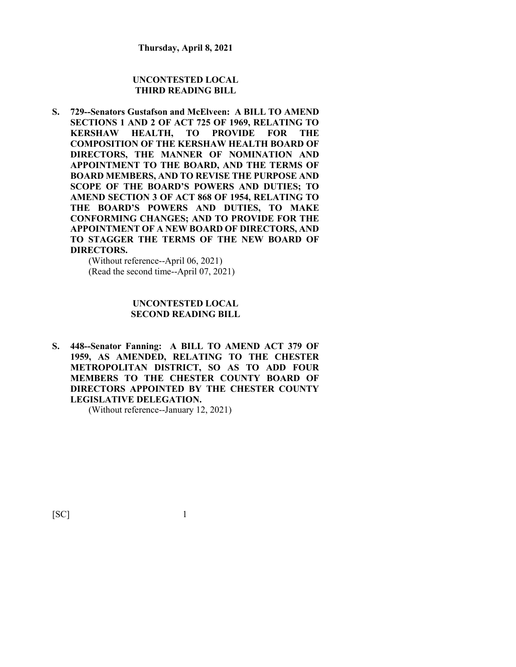#### **UNCONTESTED LOCAL THIRD READING BILL**

**S. 729--Senators Gustafson and McElveen: A BILL TO AMEND SECTIONS 1 AND 2 OF ACT 725 OF 1969, RELATING TO KERSHAW HEALTH, TO PROVIDE FOR THE COMPOSITION OF THE KERSHAW HEALTH BOARD OF DIRECTORS, THE MANNER OF NOMINATION AND APPOINTMENT TO THE BOARD, AND THE TERMS OF BOARD MEMBERS, AND TO REVISE THE PURPOSE AND SCOPE OF THE BOARD'S POWERS AND DUTIES; TO AMEND SECTION 3 OF ACT 868 OF 1954, RELATING TO THE BOARD'S POWERS AND DUTIES, TO MAKE CONFORMING CHANGES; AND TO PROVIDE FOR THE APPOINTMENT OF A NEW BOARD OF DIRECTORS, AND TO STAGGER THE TERMS OF THE NEW BOARD OF DIRECTORS.**

(Without reference--April 06, 2021) (Read the second time--April 07, 2021)

#### **UNCONTESTED LOCAL SECOND READING BILL**

**S. 448--Senator Fanning: A BILL TO AMEND ACT 379 OF 1959, AS AMENDED, RELATING TO THE CHESTER METROPOLITAN DISTRICT, SO AS TO ADD FOUR MEMBERS TO THE CHESTER COUNTY BOARD OF DIRECTORS APPOINTED BY THE CHESTER COUNTY LEGISLATIVE DELEGATION.**

(Without reference--January 12, 2021)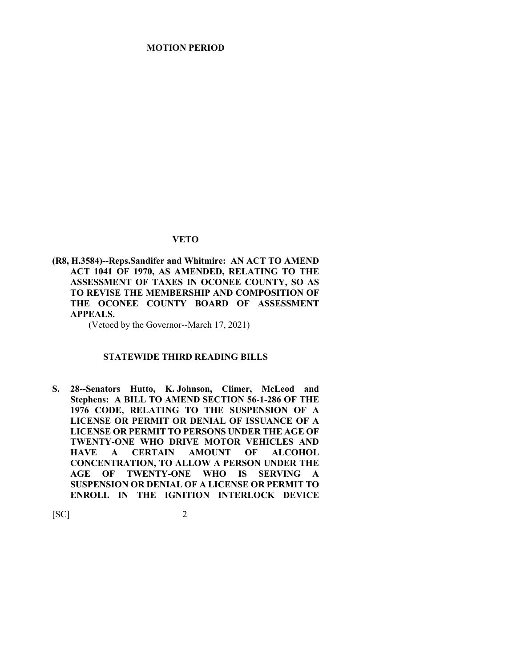#### **VETO**

**(R8, H.3584)--Reps.Sandifer and Whitmire: AN ACT TO AMEND ACT 1041 OF 1970, AS AMENDED, RELATING TO THE ASSESSMENT OF TAXES IN OCONEE COUNTY, SO AS TO REVISE THE MEMBERSHIP AND COMPOSITION OF THE OCONEE COUNTY BOARD OF ASSESSMENT APPEALS.**

(Vetoed by the Governor--March 17, 2021)

#### **STATEWIDE THIRD READING BILLS**

**S. 28--Senators Hutto, K. Johnson, Climer, McLeod and Stephens: A BILL TO AMEND SECTION 56-1-286 OF THE 1976 CODE, RELATING TO THE SUSPENSION OF A LICENSE OR PERMIT OR DENIAL OF ISSUANCE OF A LICENSE OR PERMIT TO PERSONS UNDER THE AGE OF TWENTY-ONE WHO DRIVE MOTOR VEHICLES AND HACERTAIN AMOUNT OF ALCOHOL CONCENTRATION, TO ALLOW A PERSON UNDER THE AGE OF TWENTY-ONE WHO IS SERVING A SUSPENSION OR DENIAL OF A LICENSE OR PERMIT TO ENROLL IN THE IGNITION INTERLOCK DEVICE**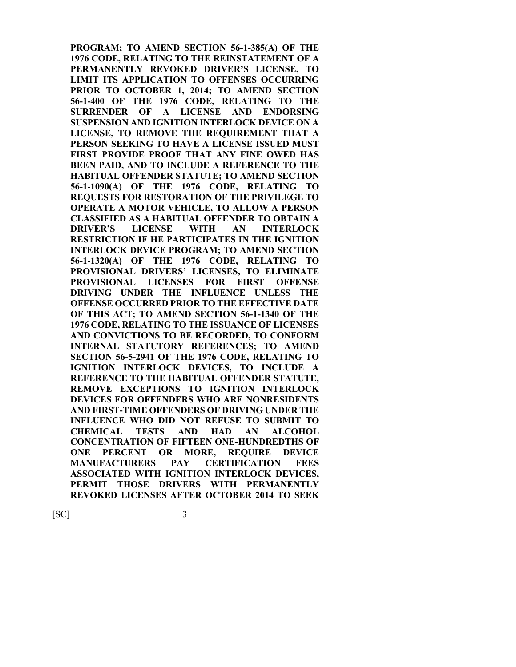**PROGRAM; TO AMEND SECTION 56-1-385(A) OF THE 1976 CODE, RELATING TO THE REINSTATEMENT OF A PERMANENTLY REVOKED DRIVER'S LICENSE, TO LIMIT ITS APPLICATION TO OFFENSES OCCURRING PRIOR TO OCTOBER 1, 2014; TO AMEND SECTION 56-1-400 OF THE 1976 CODE, RELATING TO THE SURRENDER OF A LICENSE AND ENDORSING SUSPENSION AND IGNITION INTERLOCK DEVICE ON A LICENSE, TO REMOVE THE REQUIREMENT THAT A PERSON SEEKING TO HAVE A LICENSE ISSUED MUST FIRST PROVIDE PROOF THAT ANY FINE OWED HAS BEEN PAID, AND TO INCLUDE A REFERENCE TO THE HABITUAL OFFENDER STATUTE; TO AMEND SECTION 56-1-1090(A) OF THE 1976 CODE, RELATING TO REQUESTS FOR RESTORATION OF THE PRIVILEGE TO OPERATE A MOTOR VEHICLE, TO ALLOW A PERSON CLASSIFIED AS A HABITUAL OFFENDER TO OBTAIN A DRIVER'S LICENSE WITH AN INTERLOCK RESTRICTION IF HE PARTICIPATES IN THE IGNITION INTERLOCK DEVICE PROGRAM; TO AMEND SECTION 56-1-1320(A) OF THE 1976 CODE, RELATING TO PROVISIONAL DRIVERS' LICENSES, TO ELIMINATE PROVISIONAL LICENSES FOR FIRST OFFENSE DRIVING UNDER THE INFLUENCE UNLESS THE OFFENSE OCCURRED PRIOR TO THE EFFECTIVE DATE OF THIS ACT; TO AMEND SECTION 56-1-1340 OF THE 1976 CODE, RELATING TO THE ISSUANCE OF LICENSES AND CONVICTIONS TO BE RECORDED, TO CONFORM INTERNAL STATUTORY REFERENCES; TO AMEND SECTION 56-5-2941 OF THE 1976 CODE, RELATING TO IGNITION INTERLOCK DEVICES, TO INCLUDE A REFERENCE TO THE HABITUAL OFFENDER STATUTE, REMOVE EXCEPTIONS TO IGNITION INTERLOCK DEVICES FOR OFFENDERS WHO ARE NONRESIDENTS AND FIRST-TIME OFFENDERS OF DRIVING UNDER THE INFLUENCE WHO DID NOT REFUSE TO SUBMIT TO CHEMICAL TESTS AND HAD AN ALCOHOL CONCENTRATION OF FIFTEEN ONE-HUNDREDTHS OF ONE PERCENT OR MORE, REQUIRE DEVICE MANUFACTURERS PAY CERTIFICATION FEES ASSOCIATED WITH IGNITION INTERLOCK DEVICES, PERMIT THOSE DRIVERS WITH PERMANENTLY REVOKED LICENSES AFTER OCTOBER 2014 TO SEEK**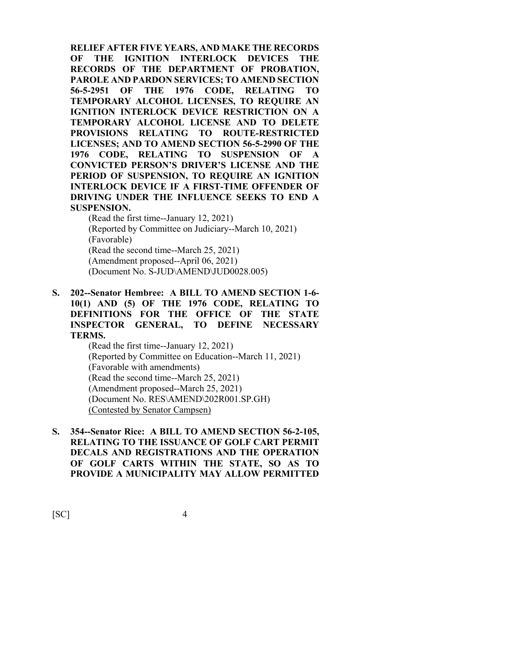**RELIEF AFTER FIVE YEARS, AND MAKE THE RECORDS OF THE IGNITION INTERLOCK DEVICES THE RECORDS OF THE DEPARTMENT OF PROBATION, PAROLE AND PARDON SERVICES; TO AMEND SECTION 56-5-2951 OF THE 1976 CODE, RELATING TO TEMPORARY ALCOHOL LICENSES, TO REQUIRE AN IGNITION INTERLOCK DEVICE RESTRICTION ON A TEMPORARY ALCOHOL LICENSE AND TO DELETE PROVISIONS RELATING TO ROUTE-RESTRICTED LICENSES; AND TO AMEND SECTION 56-5-2990 OF THE 1976 CODE, RELATING TO SUSPENSION OF A CONVICTED PERSON'S DRIVER'S LICENSE AND THE PERIOD OF SUSPENSION, TO REQUIRE AN IGNITION INTERLOCK DEVICE IF A FIRST-TIME OFFENDER OF DRIVING UNDER THE INFLUENCE SEEKS TO END A SUSPENSION.**

(Read the first time--January 12, 2021) (Reported by Committee on Judiciary--March 10, 2021) (Favorable) (Read the second time--March 25, 2021) (Amendment proposed--April 06, 2021) (Document No. S-JUD\AMEND\JUD0028.005)

**S. 202--Senator Hembree: A BILL TO AMEND SECTION 1-6- 10(1) AND (5) OF THE 1976 CODE, RELATING TO DEFINITIONS FOR THE OFFICE OF THE STATE INSPECTOR GENERAL, TO DEFINE NECESSARY TERMS.**

(Read the first time--January 12, 2021) (Reported by Committee on Education--March 11, 2021) (Favorable with amendments) (Read the second time--March 25, 2021) (Amendment proposed--March 25, 2021) (Document No. RES\AMEND\202R001.SP.GH) (Contested by Senator Campsen)

**S. 354--Senator Rice: A BILL TO AMEND SECTION 56-2-105, RELATING TO THE ISSUANCE OF GOLF CART PERMIT DECALS AND REGISTRATIONS AND THE OPERATION OF GOLF CARTS WITHIN THE STATE, SO AS TO PROVIDE A MUNICIPALITY MAY ALLOW PERMITTED**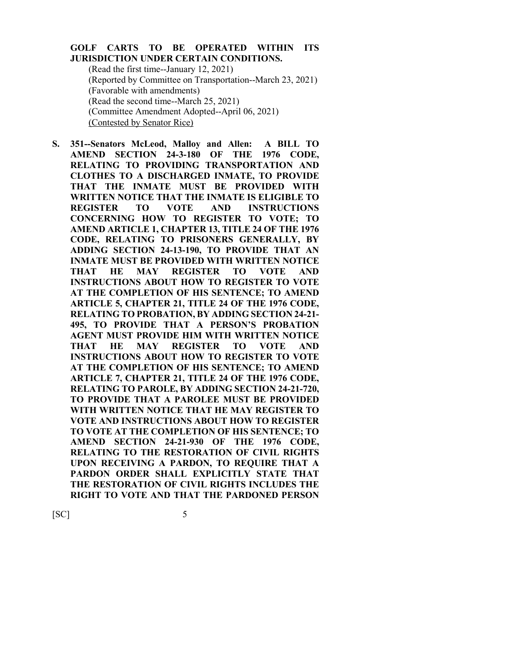#### **GOLF CARTS TO BE OPERATED WITHIN ITS JURISDICTION UNDER CERTAIN CONDITIONS.**

(Read the first time--January 12, 2021) (Reported by Committee on Transportation--March 23, 2021) (Favorable with amendments) (Read the second time--March 25, 2021) (Committee Amendment Adopted--April 06, 2021) (Contested by Senator Rice)

**S. 351--Senators McLeod, Malloy and Allen: A BILL TO AMEND SECTION 24-3-180 OF THE 1976 CODE, RELATING TO PROVIDING TRANSPORTATION AND CLOTHES TO A DISCHARGED INMATE, TO PROVIDE THAT THE INMATE MUST BE PROVIDED WITH WRITTEN NOTICE THAT THE INMATE IS ELIGIBLE TO REGISTER TO VOTE AND INSTRUCTIONS CONCERNING HOW TO REGISTER TO VOTE; TO AMEND ARTICLE 1, CHAPTER 13, TITLE 24 OF THE 1976 CODE, RELATING TO PRISONERS GENERALLY, BY ADDING SECTION 24-13-190, TO PROVIDE THAT AN INMATE MUST BE PROVIDED WITH WRITTEN NOTICE THAT HE MAY REGISTER TO VOTE AND INSTRUCTIONS ABOUT HOW TO REGISTER TO VOTE AT THE COMPLETION OF HIS SENTENCE; TO AMEND ARTICLE 5, CHAPTER 21, TITLE 24 OF THE 1976 CODE, RELATING TO PROBATION, BY ADDING SECTION 24-21- 495, TO PROVIDE THAT A PERSON'S PROBATION AGENT MUST PROVIDE HIM WITH WRITTEN NOTICE THAT HE MAY REGISTER TO VOTE AND INSTRUCTIONS ABOUT HOW TO REGISTER TO VOTE AT THE COMPLETION OF HIS SENTENCE; TO AMEND ARTICLE 7, CHAPTER 21, TITLE 24 OF THE 1976 CODE, RELATING TO PAROLE, BY ADDING SECTION 24-21-720, TO PROVIDE THAT A PAROLEE MUST BE PROVIDED WITH WRITTEN NOTICE THAT HE MAY REGISTER TO VOTE AND INSTRUCTIONS ABOUT HOW TO REGISTER TO VOTE AT THE COMPLETION OF HIS SENTENCE; TO AMEND SECTION 24-21-930 OF THE 1976 CODE, RELATING TO THE RESTORATION OF CIVIL RIGHTS UPON RECEIVING A PARDON, TO REQUIRE THAT A PARDON ORDER SHALL EXPLICITLY STATE THAT THE RESTORATION OF CIVIL RIGHTS INCLUDES THE RIGHT TO VOTE AND THAT THE PARDONED PERSON**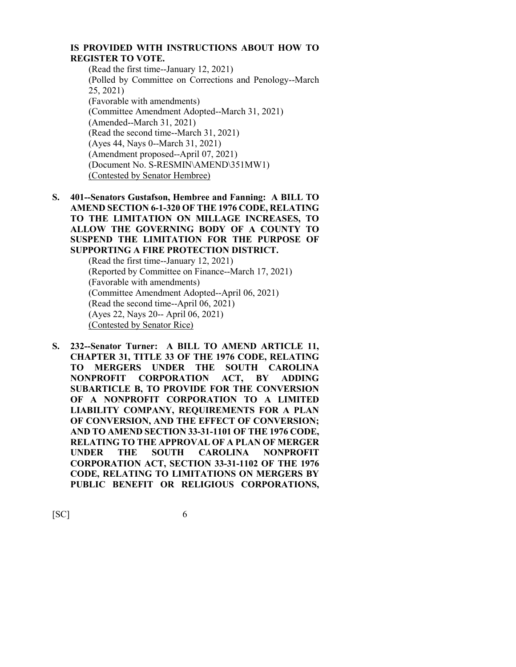#### **IS PROVIDED WITH INSTRUCTIONS ABOUT HOW TO REGISTER TO VOTE.**

- (Read the first time--January 12, 2021) (Polled by Committee on Corrections and Penology--March 25, 2021) (Favorable with amendments) (Committee Amendment Adopted--March 31, 2021) (Amended--March 31, 2021) (Read the second time--March 31, 2021) (Ayes 44, Nays 0--March 31, 2021) (Amendment proposed--April 07, 2021) (Document No. S-RESMIN\AMEND\351MW1) (Contested by Senator Hembree)
- **S. 401--Senators Gustafson, Hembree and Fanning: A BILL TO AMEND SECTION 6-1-320 OF THE 1976 CODE, RELATING TO THE LIMITATION ON MILLAGE INCREASES, TO ALLOW THE GOVERNING BODY OF A COUNTY TO SUSPEND THE LIMITATION FOR THE PURPOSE OF SUPPORTING A FIRE PROTECTION DISTRICT.**

(Read the first time--January 12, 2021) (Reported by Committee on Finance--March 17, 2021) (Favorable with amendments) (Committee Amendment Adopted--April 06, 2021) (Read the second time--April 06, 2021) (Ayes 22, Nays 20-- April 06, 2021) (Contested by Senator Rice)

**S. 232--Senator Turner: A BILL TO AMEND ARTICLE 11, CHAPTER 31, TITLE 33 OF THE 1976 CODE, RELATING TO MERGERS UNDER THE SOUTH CAROLINA NONPROFIT CORPORATION ACT, BY ADDING SUBARTICLE B, TO PROVIDE FOR THE CONVERSION OF A NONPROFIT CORPORATION TO A LIMITED LIABILITY COMPANY, REQUIREMENTS FOR A PLAN OF CONVERSION, AND THE EFFECT OF CONVERSION; AND TO AMEND SECTION 33-31-1101 OF THE 1976 CODE, RELATING TO THE APPROVAL OF A PLAN OF MERGER UNDER THE SOUTH CAROLINA NONPROFIT CORPORATION ACT, SECTION 33-31-1102 OF THE 1976 CODE, RELATING TO LIMITATIONS ON MERGERS BY PUBLIC BENEFIT OR RELIGIOUS CORPORATIONS,**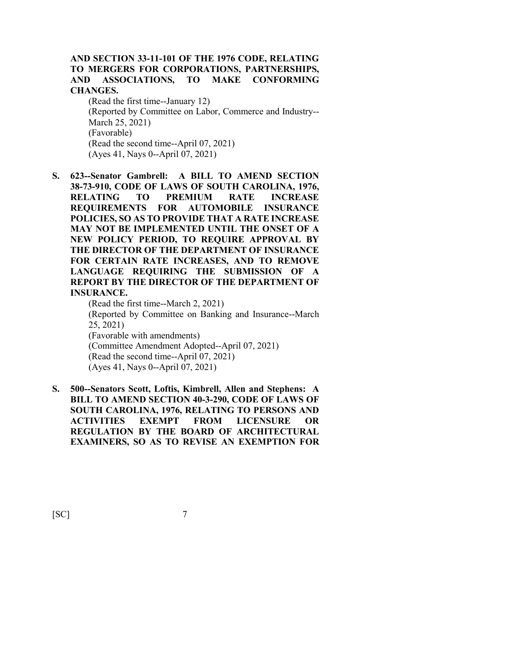#### **AND SECTION 33-11-101 OF THE 1976 CODE, RELATING TO MERGERS FOR CORPORATIONS, PARTNERSHIPS, AND ASSOCIATIONS, TO MAKE CONFORMING CHANGES.**

(Read the first time--January 12) (Reported by Committee on Labor, Commerce and Industry-- March 25, 2021) (Favorable) (Read the second time--April 07, 2021) (Ayes 41, Nays 0--April 07, 2021)

**S. 623--Senator Gambrell: A BILL TO AMEND SECTION 38-73-910, CODE OF LAWS OF SOUTH CAROLINA, 1976, RELATING TO PREMIUM RATE INCREASE REQUIREMENTS FOR AUTOMOBILE INSURANCE POLICIES, SO AS TO PROVIDE THAT A RATE INCREASE MAY NOT BE IMPLEMENTED UNTIL THE ONSET OF A NEW POLICY PERIOD, TO REQUIRE APPROVAL BY THE DIRECTOR OF THE DEPARTMENT OF INSURANCE FOR CERTAIN RATE INCREASES, AND TO REMOVE LANGUAGE REQUIRING THE SUBMISSION OF A REPORT BY THE DIRECTOR OF THE DEPARTMENT OF INSURANCE.**

(Read the first time--March 2, 2021) (Reported by Committee on Banking and Insurance--March 25, 2021) (Favorable with amendments) (Committee Amendment Adopted--April 07, 2021) (Read the second time--April 07, 2021) (Ayes 41, Nays 0--April 07, 2021)

**S. 500--Senators Scott, Loftis, Kimbrell, Allen and Stephens: A BILL TO AMEND SECTION 40-3-290, CODE OF LAWS OF SOUTH CAROLINA, 1976, RELATING TO PERSONS AND ACTIVITIES EXEMPT FROM LICENSURE OR REGULATION BY THE BOARD OF ARCHITECTURAL EXAMINERS, SO AS TO REVISE AN EXEMPTION FOR**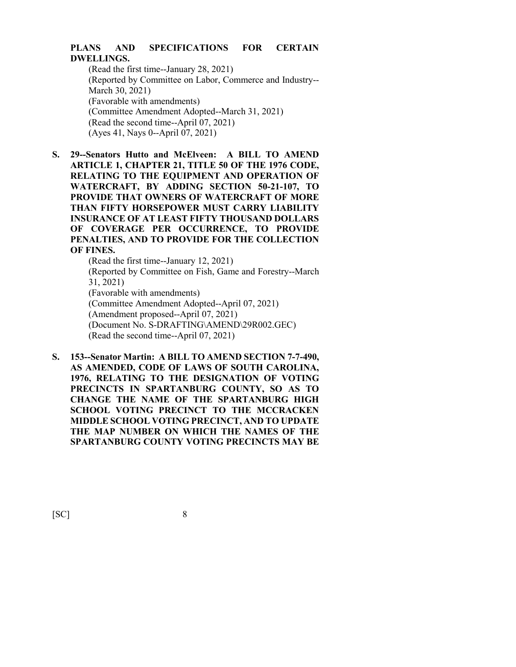#### **PLANS AND SPECIFICATIONS FOR CERTAIN DWELLINGS.**

(Read the first time--January 28, 2021) (Reported by Committee on Labor, Commerce and Industry-- March 30, 2021) (Favorable with amendments) (Committee Amendment Adopted--March 31, 2021) (Read the second time--April 07, 2021) (Ayes 41, Nays 0--April 07, 2021)

**S. 29--Senators Hutto and McElveen: A BILL TO AMEND ARTICLE 1, CHAPTER 21, TITLE 50 OF THE 1976 CODE, RELATING TO THE EQUIPMENT AND OPERATION OF WATERCRAFT, BY ADDING SECTION 50-21-107, TO PROVIDE THAT OWNERS OF WATERCRAFT OF MORE THAN FIFTY HORSEPOWER MUST CARRY LIABILITY INSURANCE OF AT LEAST FIFTY THOUSAND DOLLARS OF COVERAGE PER OCCURRENCE, TO PROVIDE PENALTIES, AND TO PROVIDE FOR THE COLLECTION OF FINES.**

> (Read the first time--January 12, 2021) (Reported by Committee on Fish, Game and Forestry--March 31, 2021) (Favorable with amendments) (Committee Amendment Adopted--April 07, 2021) (Amendment proposed--April 07, 2021) (Document No. S-DRAFTING\AMEND\29R002.GEC) (Read the second time--April 07, 2021)

**S. 153--Senator Martin: A BILL TO AMEND SECTION 7-7-490, AS AMENDED, CODE OF LAWS OF SOUTH CAROLINA, 1976, RELATING TO THE DESIGNATION OF VOTING PRECINCTS IN SPARTANBURG COUNTY, SO AS TO CHANGE THE NAME OF THE SPARTANBURG HIGH SCHOOL VOTING PRECINCT TO THE MCCRACKEN MIDDLE SCHOOL VOTING PRECINCT, AND TO UPDATE THE MAP NUMBER ON WHICH THE NAMES OF THE SPARTANBURG COUNTY VOTING PRECINCTS MAY BE**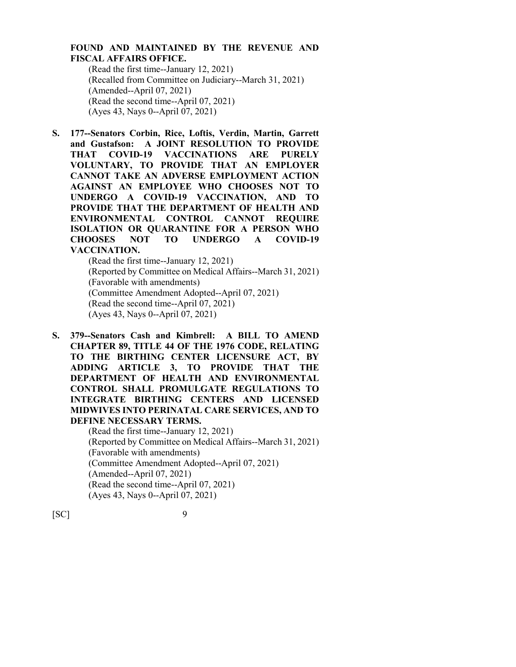#### **FOUND AND MAINTAINED BY THE REVENUE AND FISCAL AFFAIRS OFFICE.**

(Read the first time--January 12, 2021) (Recalled from Committee on Judiciary--March 31, 2021) (Amended--April 07, 2021) (Read the second time--April 07, 2021) (Ayes 43, Nays 0--April 07, 2021)

**S. 177--Senators Corbin, Rice, Loftis, Verdin, Martin, Garrett and Gustafson: A JOINT RESOLUTION TO PROVIDE THAT COVID-19 VACCINATIONS ARE PURELY VOLUNTARY, TO PROVIDE THAT AN EMPLOYER CANNOT TAKE AN ADVERSE EMPLOYMENT ACTION AGAINST AN EMPLOYEE WHO CHOOSES NOT TO UNDERGO A COVID-19 VACCINATION, AND TO PROVIDE THAT THE DEPARTMENT OF HEALTH AND ENVIRONMENTAL CONTROL CANNOT REQUIRE ISOLATION OR QUARANTINE FOR A PERSON WHO CHOOSES NOT TO UNDERGO A COVID-19 VACCINATION.**

(Read the first time--January 12, 2021) (Reported by Committee on Medical Affairs--March 31, 2021) (Favorable with amendments) (Committee Amendment Adopted--April 07, 2021) (Read the second time--April 07, 2021) (Ayes 43, Nays 0--April 07, 2021)

**S. 379--Senators Cash and Kimbrell: A BILL TO AMEND CHAPTER 89, TITLE 44 OF THE 1976 CODE, RELATING TO THE BIRTHING CENTER LICENSURE ACT, BY ADDING ARTICLE 3, TO PROVIDE THAT THE DEPARTMENT OF HEALTH AND ENVIRONMENTAL CONTROL SHALL PROMULGATE REGULATIONS TO INTEGRATE BIRTHING CENTERS AND LICENSED MIDWIVES INTO PERINATAL CARE SERVICES, AND TO DEFINE NECESSARY TERMS.**

> (Read the first time--January 12, 2021) (Reported by Committee on Medical Affairs--March 31, 2021) (Favorable with amendments) (Committee Amendment Adopted--April 07, 2021) (Amended--April 07, 2021) (Read the second time--April 07, 2021) (Ayes 43, Nays 0--April 07, 2021)

 $[SC]$ 

| ٦ | ٠       |   |  |
|---|---------|---|--|
|   |         |   |  |
|   | ĉ       | I |  |
| v | I<br>۰. |   |  |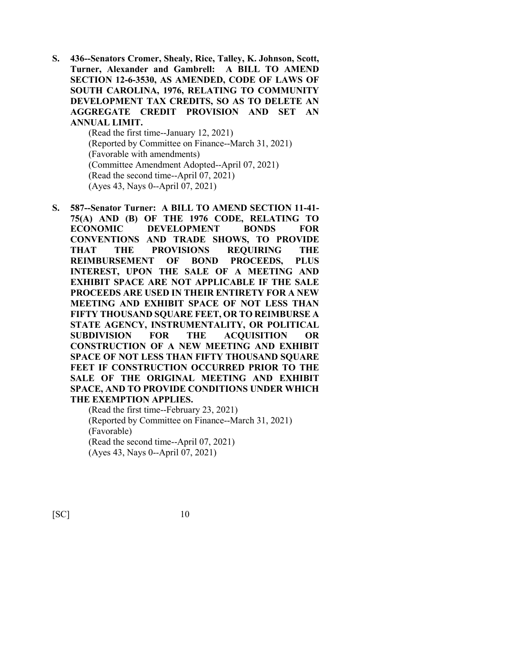**S. 436--Senators Cromer, Shealy, Rice, Talley, K. Johnson, Scott, Turner, Alexander and Gambrell: A BILL TO AMEND SECTION 12-6-3530, AS AMENDED, CODE OF LAWS OF SOUTH CAROLINA, 1976, RELATING TO COMMUNITY DEVELOPMENT TAX CREDITS, SO AS TO DELETE AN AGGREGATE CREDIT PROVISION AND SET AN ANNUAL LIMIT.**

(Read the first time--January 12, 2021) (Reported by Committee on Finance--March 31, 2021) (Favorable with amendments) (Committee Amendment Adopted--April 07, 2021) (Read the second time--April 07, 2021) (Ayes 43, Nays 0--April 07, 2021)

**S. 587--Senator Turner: A BILL TO AMEND SECTION 11-41- 75(A) AND (B) OF THE 1976 CODE, RELATING TO ECONOMIC DEVELOPMENT BONDS FOR CONVENTIONS AND TRADE SHOWS, TO PROVIDE THAT THE PROVISIONS REQUIRING THE REIMBURSEMENT OF BOND PROCEEDS, PLUS INTEREST, UPON THE SALE OF A MEETING AND EXHIBIT SPACE ARE NOT APPLICABLE IF THE SALE PROCEEDS ARE USED IN THEIR ENTIRETY FOR A NEW MEETING AND EXHIBIT SPACE OF NOT LESS THAN FIFTY THOUSAND SQUARE FEET, OR TO REIMBURSE A STATE AGENCY, INSTRUMENTALITY, OR POLITICAL SUBDIVISION FOR THE ACQUISITION OR CONSTRUCTION OF A NEW MEETING AND EXHIBIT SPACE OF NOT LESS THAN FIFTY THOUSAND SQUARE FEET IF CONSTRUCTION OCCURRED PRIOR TO THE SALE OF THE ORIGINAL MEETING AND EXHIBIT SPACE, AND TO PROVIDE CONDITIONS UNDER WHICH THE EXEMPTION APPLIES.**

(Read the first time--February 23, 2021) (Reported by Committee on Finance--March 31, 2021) (Favorable) (Read the second time--April 07, 2021) (Ayes 43, Nays 0--April 07, 2021)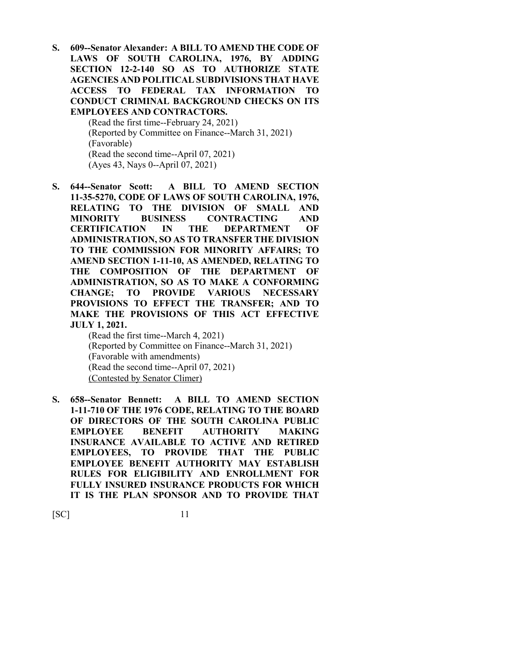**S. 609--Senator Alexander: A BILL TO AMEND THE CODE OF LAWS OF SOUTH CAROLINA, 1976, BY ADDING SECTION 12-2-140 SO AS TO AUTHORIZE STATE AGENCIES AND POLITICAL SUBDIVISIONS THAT HAVE ACCESS TO FEDERAL TAX INFORMATION TO CONDUCT CRIMINAL BACKGROUND CHECKS ON ITS EMPLOYEES AND CONTRACTORS.**

(Read the first time--February 24, 2021) (Reported by Committee on Finance--March 31, 2021) (Favorable) (Read the second time--April 07, 2021) (Ayes 43, Nays 0--April 07, 2021)

**S. 644--Senator Scott: A BILL TO AMEND SECTION 11-35-5270, CODE OF LAWS OF SOUTH CAROLINA, 1976, RELATING TO THE DIVISION OF SMALL AND MINORITY BUSINESS CONTRACTING AND CERTIFICATION IN THE DEPARTMENT OF ADMINISTRATION, SO AS TO TRANSFER THE DIVISION TO THE COMMISSION FOR MINORITY AFFAIRS; TO AMEND SECTION 1-11-10, AS AMENDED, RELATING TO THE COMPOSITION OF THE DEPARTMENT OF ADMINISTRATION, SO AS TO MAKE A CONFORMING CHANGE; TO PROVIDE VARIOUS NECESSARY PROVISIONS TO EFFECT THE TRANSFER; AND TO MAKE THE PROVISIONS OF THIS ACT EFFECTIVE JULY 1, 2021.**

(Read the first time--March 4, 2021) (Reported by Committee on Finance--March 31, 2021) (Favorable with amendments) (Read the second time--April 07, 2021) (Contested by Senator Climer)

**S. 658--Senator Bennett: A BILL TO AMEND SECTION 1-11-710 OF THE 1976 CODE, RELATING TO THE BOARD OF DIRECTORS OF THE SOUTH CAROLINA PUBLIC EMPLOYEE BENEFIT AUTHORITY MAKING INSURANCE AVAILABLE TO ACTIVE AND RETIRED EMPLOYEES, TO PROVIDE THAT THE PUBLIC EMPLOYEE BENEFIT AUTHORITY MAY ESTABLISH RULES FOR ELIGIBILITY AND ENROLLMENT FOR FULLY INSURED INSURANCE PRODUCTS FOR WHICH IT IS THE PLAN SPONSOR AND TO PROVIDE THAT**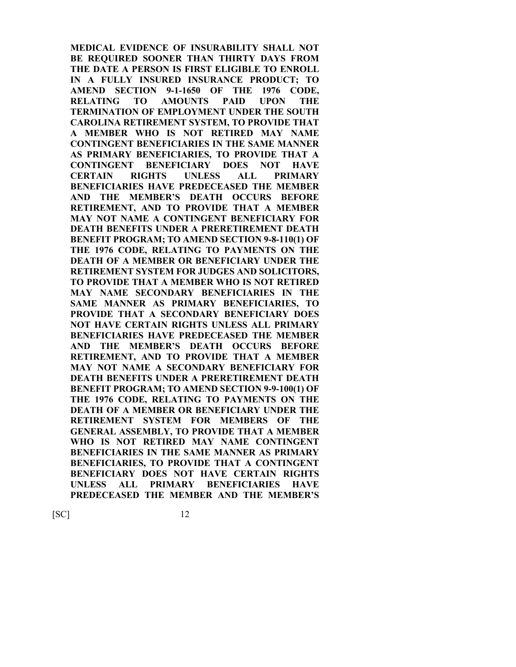**MEDICAL EVIDENCE OF INSURABILITY SHALL NOT BE REQUIRED SOONER THAN THIRTY DAYS FROM THE DATE A PERSON IS FIRST ELIGIBLE TO ENROLL IN A FULLY INSURED INSURANCE PRODUCT; TO AMEND SECTION 9-1-1650 OF THE 1976 CODE, RELATING TO AMOUNTS PAID UPON THE TERMINATION OF EMPLOYMENT UNDER THE SOUTH CAROLINA RETIREMENT SYSTEM, TO PROVIDE THAT A MEMBER WHO IS NOT RETIRED MAY NAME CONTINGENT BENEFICIARIES IN THE SAME MANNER AS PRIMARY BENEFICIARIES, TO PROVIDE THAT A CONTINGENT BENEFICIARY DOES NOT HAVE CERTAIN RIGHTS UNLESS ALL PRIMARY BENEFICIARIES HAVE PREDECEASED THE MEMBER AND THE MEMBER'S DEATH OCCURS BEFORE RETIREMENT, AND TO PROVIDE THAT A MEMBER MAY NOT NAME A CONTINGENT BENEFICIARY FOR DEATH BENEFITS UNDER A PRERETIREMENT DEATH BENEFIT PROGRAM; TO AMEND SECTION 9-8-110(1) OF THE 1976 CODE, RELATING TO PAYMENTS ON THE DEATH OF A MEMBER OR BENEFICIARY UNDER THE RETIREMENT SYSTEM FOR JUDGES AND SOLICITORS, TO PROVIDE THAT A MEMBER WHO IS NOT RETIRED MAY NAME SECONDARY BENEFICIARIES IN THE SAME MANNER AS PRIMARY BENEFICIARIES, TO PROVIDE THAT A SECONDARY BENEFICIARY DOES NOT HAVE CERTAIN RIGHTS UNLESS ALL PRIMARY BENEFICIARIES HAVE PREDECEASED THE MEMBER AND THE MEMBER'S DEATH OCCURS BEFORE RETIREMENT, AND TO PROVIDE THAT A MEMBER MAY NOT NAME A SECONDARY BENEFICIARY FOR DEATH BENEFITS UNDER A PRERETIREMENT DEATH BENEFIT PROGRAM; TO AMEND SECTION 9-9-100(1) OF THE 1976 CODE, RELATING TO PAYMENTS ON THE DEATH OF A MEMBER OR BENEFICIARY UNDER THE RETIREMENT SYSTEM FOR MEMBERS OF THE GENERAL ASSEMBLY, TO PROVIDE THAT A MEMBER WHO IS NOT RETIRED MAY NAME CONTINGENT BENEFICIARIES IN THE SAME MANNER AS PRIMARY BENEFICIARIES, TO PROVIDE THAT A CONTINGENT BENEFICIARY DOES NOT HAVE CERTAIN RIGHTS UNLESS ALL PRIMARY BENEFICIARIES HAVE PREDECEASED THE MEMBER AND THE MEMBER'S**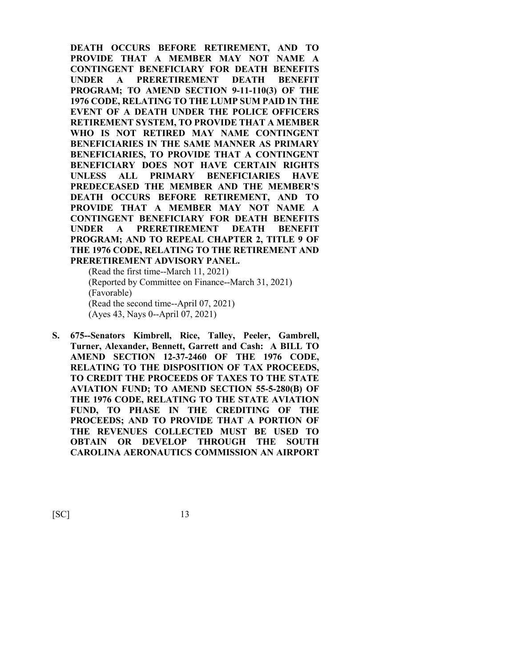**DEATH OCCURS BEFORE RETIREMENT, AND TO PROVIDE THAT A MEMBER MAY NOT NAME A CONTINGENT BENEFICIARY FOR DEATH BENEFITS UNDER A PRERETIREMENT DEATH BENEFIT PROGRAM; TO AMEND SECTION 9-11-110(3) OF THE 1976 CODE, RELATING TO THE LUMP SUM PAID IN THE EVENT OF A DEATH UNDER THE POLICE OFFICERS RETIREMENT SYSTEM, TO PROVIDE THAT A MEMBER WHO IS NOT RETIRED MAY NAME CONTINGENT BENEFICIARIES IN THE SAME MANNER AS PRIMARY BENEFICIARIES, TO PROVIDE THAT A CONTINGENT BENEFICIARY DOES NOT HAVE CERTAIN RIGHTS UNLESS ALL PRIMARY BENEFICIARIES HAVE PREDECEASED THE MEMBER AND THE MEMBER'S DEATH OCCURS BEFORE RETIREMENT, AND TO PROVIDE THAT A MEMBER MAY NOT NAME A CONTINGENT BENEFICIARY FOR DEATH BENEFITS UNDER A PRERETIREMENT DEATH BENEFIT PROGRAM; AND TO REPEAL CHAPTER 2, TITLE 9 OF THE 1976 CODE, RELATING TO THE RETIREMENT AND PRERETIREMENT ADVISORY PANEL.**

(Read the first time--March 11, 2021) (Reported by Committee on Finance--March 31, 2021) (Favorable) (Read the second time--April 07, 2021) (Ayes 43, Nays 0--April 07, 2021)

**S. 675--Senators Kimbrell, Rice, Talley, Peeler, Gambrell, Turner, Alexander, Bennett, Garrett and Cash: A BILL TO AMEND SECTION 12-37-2460 OF THE 1976 CODE, RELATING TO THE DISPOSITION OF TAX PROCEEDS, TO CREDIT THE PROCEEDS OF TAXES TO THE STATE AVIATION FUND; TO AMEND SECTION 55-5-280(B) OF THE 1976 CODE, RELATING TO THE STATE AVIATION FUND, TO PHASE IN THE CREDITING OF THE PROCEEDS; AND TO PROVIDE THAT A PORTION OF THE REVENUES COLLECTED MUST BE USED TO OBTAIN OR DEVELOP THROUGH THE SOUTH CAROLINA AERONAUTICS COMMISSION AN AIRPORT**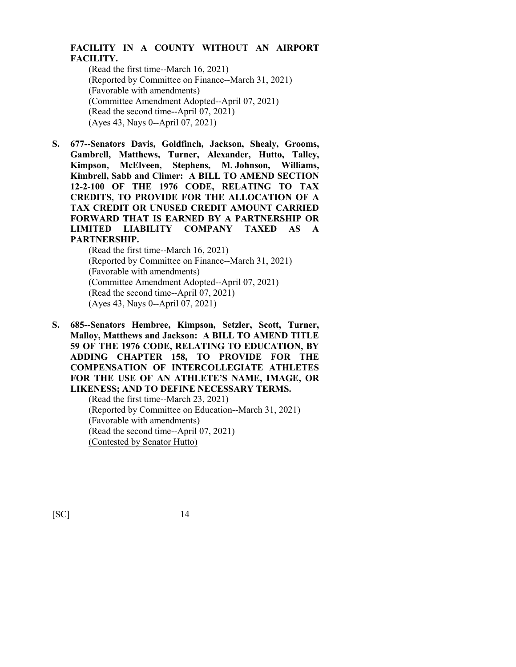#### **FACILITY IN A COUNTY WITHOUT AN AIRPORT FACILITY.**

(Read the first time--March 16, 2021) (Reported by Committee on Finance--March 31, 2021) (Favorable with amendments) (Committee Amendment Adopted--April 07, 2021) (Read the second time--April 07, 2021) (Ayes 43, Nays 0--April 07, 2021)

**S. 677--Senators Davis, Goldfinch, Jackson, Shealy, Grooms, Gambrell, Matthews, Turner, Alexander, Hutto, Talley, Kimpson, McElveen, Stephens, M. Johnson, Williams, Kimbrell, Sabb and Climer: A BILL TO AMEND SECTION 12-2-100 OF THE 1976 CODE, RELATING TO TAX CREDITS, TO PROVIDE FOR THE ALLOCATION OF A TAX CREDIT OR UNUSED CREDIT AMOUNT CARRIED FORWARD THAT IS EARNED BY A PARTNERSHIP OR LIMITED LIABILITY COMPANY TAXED AS A PARTNERSHIP.**

> (Read the first time--March 16, 2021) (Reported by Committee on Finance--March 31, 2021) (Favorable with amendments) (Committee Amendment Adopted--April 07, 2021) (Read the second time--April 07, 2021) (Ayes 43, Nays 0--April 07, 2021)

**S. 685--Senators Hembree, Kimpson, Setzler, Scott, Turner, Malloy, Matthews and Jackson: A BILL TO AMEND TITLE 59 OF THE 1976 CODE, RELATING TO EDUCATION, BY ADDING CHAPTER 158, TO PROVIDE FOR THE COMPENSATION OF INTERCOLLEGIATE ATHLETES FOR THE USE OF AN ATHLETE'S NAME, IMAGE, OR LIKENESS; AND TO DEFINE NECESSARY TERMS.**

(Read the first time--March 23, 2021) (Reported by Committee on Education--March 31, 2021) (Favorable with amendments) (Read the second time--April 07, 2021) (Contested by Senator Hutto)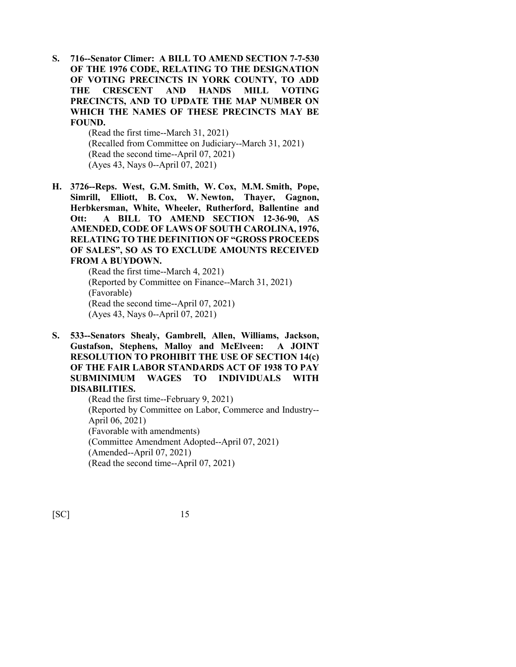**S. 716--Senator Climer: A BILL TO AMEND SECTION 7-7-530 OF THE 1976 CODE, RELATING TO THE DESIGNATION OF VOTING PRECINCTS IN YORK COUNTY, TO ADD THE CRESCENT AND HANDS MILL VOTING PRECINCTS, AND TO UPDATE THE MAP NUMBER ON WHICH THE NAMES OF THESE PRECINCTS MAY BE FOUND.**

> (Read the first time--March 31, 2021) (Recalled from Committee on Judiciary--March 31, 2021) (Read the second time--April 07, 2021) (Ayes 43, Nays 0--April 07, 2021)

**H. 3726--Reps. West, G.M. Smith, W. Cox, M.M. Smith, Pope, Simrill, Elliott, B. Cox, W. Newton, Thayer, Gagnon, Herbkersman, White, Wheeler, Rutherford, Ballentine and Ott: A BILL TO AMEND SECTION 12-36-90, AS AMENDED, CODE OF LAWS OF SOUTH CAROLINA, 1976, RELATING TO THE DEFINITION OF "GROSS PROCEEDS OF SALES", SO AS TO EXCLUDE AMOUNTS RECEIVED FROM A BUYDOWN.**

(Read the first time--March 4, 2021) (Reported by Committee on Finance--March 31, 2021) (Favorable) (Read the second time--April 07, 2021) (Ayes 43, Nays 0--April 07, 2021)

**S. 533--Senators Shealy, Gambrell, Allen, Williams, Jackson, Gustafson, Stephens, Malloy and McElveen: A JOINT RESOLUTION TO PROHIBIT THE USE OF SECTION 14(c) OF THE FAIR LABOR STANDARDS ACT OF 1938 TO PAY SUBMINIMUM WAGES TO INDIVIDUALS WITH DISABILITIES.**

(Read the first time--February 9, 2021) (Reported by Committee on Labor, Commerce and Industry-- April 06, 2021) (Favorable with amendments) (Committee Amendment Adopted--April 07, 2021) (Amended--April 07, 2021) (Read the second time--April 07, 2021)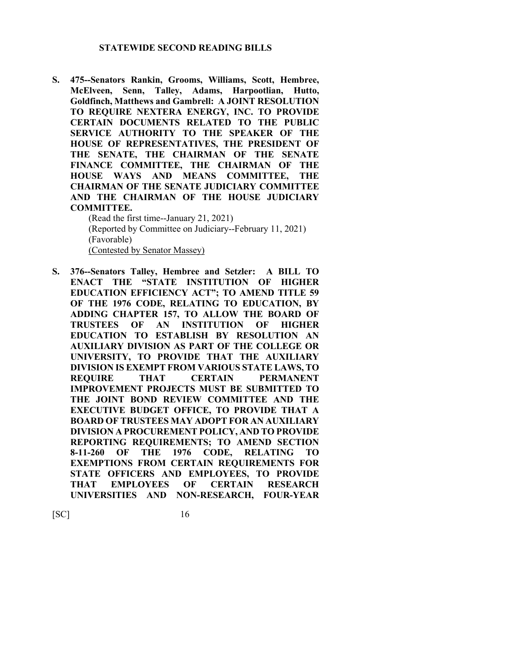#### **STATEWIDE SECOND READING BILLS**

**S. 475--Senators Rankin, Grooms, Williams, Scott, Hembree, McElveen, Senn, Talley, Adams, Harpootlian, Hutto, Goldfinch, Matthews and Gambrell: A JOINT RESOLUTION TO REQUIRE NEXTERA ENERGY, INC. TO PROVIDE CERTAIN DOCUMENTS RELATED TO THE PUBLIC SERVICE AUTHORITY TO THE SPEAKER OF THE HOUSE OF REPRESENTATIVES, THE PRESIDENT OF THE SENATE, THE CHAIRMAN OF THE SENATE FINANCE COMMITTEE, THE CHAIRMAN OF THE HOUSE WAYS AND MEANS COMMITTEE, THE CHAIRMAN OF THE SENATE JUDICIARY COMMITTEE AND THE CHAIRMAN OF THE HOUSE JUDICIARY COMMITTEE.**

(Read the first time--January 21, 2021) (Reported by Committee on Judiciary--February 11, 2021) (Favorable) (Contested by Senator Massey)

**S. 376--Senators Talley, Hembree and Setzler: A BILL TO ENACT THE "STATE INSTITUTION OF HIGHER EDUCATION EFFICIENCY ACT"; TO AMEND TITLE 59 OF THE 1976 CODE, RELATING TO EDUCATION, BY ADDING CHAPTER 157, TO ALLOW THE BOARD OF TRUSTEES OF AN INSTITUTION OF HIGHER EDUCATION TO ESTABLISH BY RESOLUTION AN AUXILIARY DIVISION AS PART OF THE COLLEGE OR UNIVERSITY, TO PROVIDE THAT THE AUXILIARY DIVISION IS EXEMPT FROM VARIOUS STATE LAWS, TO REQUIRE THAT CERTAIN PERMANENT IMPROVEMENT PROJECTS MUST BE SUBMITTED TO THE JOINT BOND REVIEW COMMITTEE AND THE EXECUTIVE BUDGET OFFICE, TO PROVIDE THAT A BOARD OF TRUSTEES MAY ADOPT FOR AN AUXILIARY DIVISION A PROCUREMENT POLICY, AND TO PROVIDE REPORTING REQUIREMENTS; TO AMEND SECTION 8-11-260 OF THE 1976 CODE, RELATING TO EXEMPTIONS FROM CERTAIN REQUIREMENTS FOR STATE OFFICERS AND EMPLOYEES, TO PROVIDE THAT EMPLOYEES OF CERTAIN RESEARCH UNIVERSITIES AND NON-RESEARCH, FOUR-YEAR**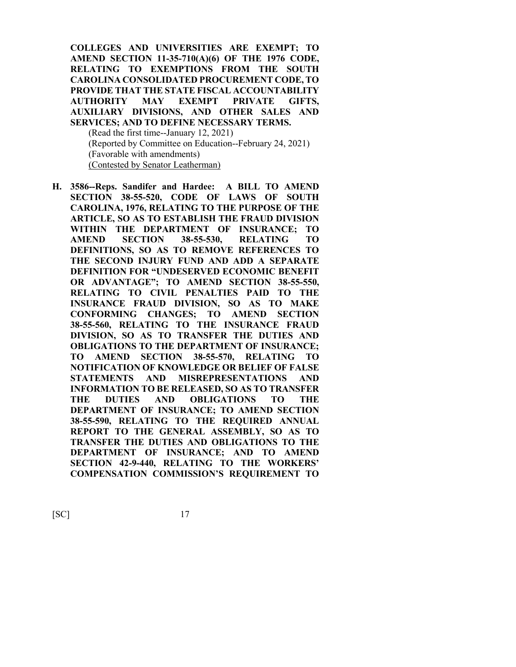**COLLEGES AND UNIVERSITIES ARE EXEMPT; TO AMEND SECTION 11-35-710(A)(6) OF THE 1976 CODE, RELATING TO EXEMPTIONS FROM THE SOUTH CAROLINA CONSOLIDATED PROCUREMENT CODE, TO PROVIDE THAT THE STATE FISCAL ACCOUNTABILITY AUTHORITY MAY EXEMPT PRIVATE GIFTS, AUXILIARY DIVISIONS, AND OTHER SALES AND SERVICES; AND TO DEFINE NECESSARY TERMS.** (Read the first time--January 12, 2021)

(Reported by Committee on Education--February 24, 2021) (Favorable with amendments) (Contested by Senator Leatherman)

**H. 3586--Reps. Sandifer and Hardee: A BILL TO AMEND SECTION 38-55-520, CODE OF LAWS OF SOUTH CAROLINA, 1976, RELATING TO THE PURPOSE OF THE ARTICLE, SO AS TO ESTABLISH THE FRAUD DIVISION WITHIN THE DEPARTMENT OF INSURANCE; TO AMEND SECTION 38-55-530, RELATING TO DEFINITIONS, SO AS TO REMOVE REFERENCES TO THE SECOND INJURY FUND AND ADD A SEPARATE DEFINITION FOR "UNDESERVED ECONOMIC BENEFIT OR ADVANTAGE"; TO AMEND SECTION 38-55-550, RELATING TO CIVIL PENALTIES PAID TO THE INSURANCE FRAUD DIVISION, SO AS TO MAKE CONFORMING CHANGES; TO AMEND SECTION 38-55-560, RELATING TO THE INSURANCE FRAUD DIVISION, SO AS TO TRANSFER THE DUTIES AND OBLIGATIONS TO THE DEPARTMENT OF INSURANCE; TO AMEND SECTION 38-55-570, RELATING TO NOTIFICATION OF KNOWLEDGE OR BELIEF OF FALSE STATEMENTS AND MISREPRESENTATIONS AND INFORMATION TO BE RELEASED, SO AS TO TRANSFER THE DUTIES AND OBLIGATIONS TO THE DEPARTMENT OF INSURANCE; TO AMEND SECTION 38-55-590, RELATING TO THE REQUIRED ANNUAL REPORT TO THE GENERAL ASSEMBLY, SO AS TO TRANSFER THE DUTIES AND OBLIGATIONS TO THE DEPARTMENT OF INSURANCE; AND TO AMEND SECTION 42-9-440, RELATING TO THE WORKERS' COMPENSATION COMMISSION'S REQUIREMENT TO**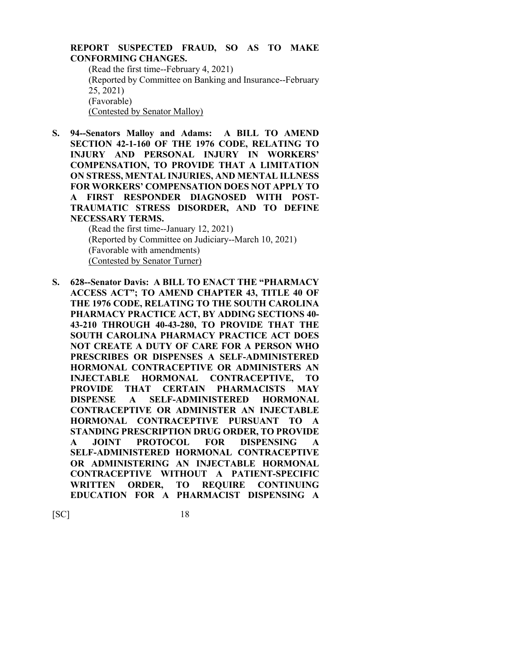#### **REPORT SUSPECTED FRAUD, SO AS TO MAKE CONFORMING CHANGES.** (Read the first time--February 4, 2021)

(Reported by Committee on Banking and Insurance--February 25, 2021) (Favorable) (Contested by Senator Malloy)

**S. 94--Senators Malloy and Adams: A BILL TO AMEND SECTION 42-1-160 OF THE 1976 CODE, RELATING TO INJURY AND PERSONAL INJURY IN WORKERS' COMPENSATION, TO PROVIDE THAT A LIMITATION ON STRESS, MENTAL INJURIES, AND MENTAL ILLNESS FOR WORKERS' COMPENSATION DOES NOT APPLY TO A FIRST RESPONDER DIAGNOSED WITH POST-TRAUMATIC STRESS DISORDER, AND TO DEFINE NECESSARY TERMS.**

(Read the first time--January 12, 2021) (Reported by Committee on Judiciary--March 10, 2021) (Favorable with amendments) (Contested by Senator Turner)

**S. 628--Senator Davis: A BILL TO ENACT THE "PHARMACY ACCESS ACT"; TO AMEND CHAPTER 43, TITLE 40 OF THE 1976 CODE, RELATING TO THE SOUTH CAROLINA PHARMACY PRACTICE ACT, BY ADDING SECTIONS 40- 43-210 THROUGH 40-43-280, TO PROVIDE THAT THE SOUTH CAROLINA PHARMACY PRACTICE ACT DOES NOT CREATE A DUTY OF CARE FOR A PERSON WHO PRESCRIBES OR DISPENSES A SELF-ADMINISTERED HORMONAL CONTRACEPTIVE OR ADMINISTERS AN INJECTABLE HORMONAL CONTRACEPTIVE, TO PROVIDE THAT CERTAIN PHARMACISTS MAY DISPENSE A SELF-ADMINISTERED HORMONAL CONTRACEPTIVE OR ADMINISTER AN INJECTABLE HORMONAL CONTRACEPTIVE PURSUANT TO A STANDING PRESCRIPTION DRUG ORDER, TO PROVIDE A JOINT PROTOCOL FOR DISPENSING A SELF-ADMINISTERED HORMONAL CONTRACEPTIVE OR ADMINISTERING AN INJECTABLE HORMONAL CONTRACEPTIVE WITHOUT A PATIENT-SPECIFIC WRITTEN ORDER, TO REQUIRE CONTINUING EDUCATION FOR A PHARMACIST DISPENSING A**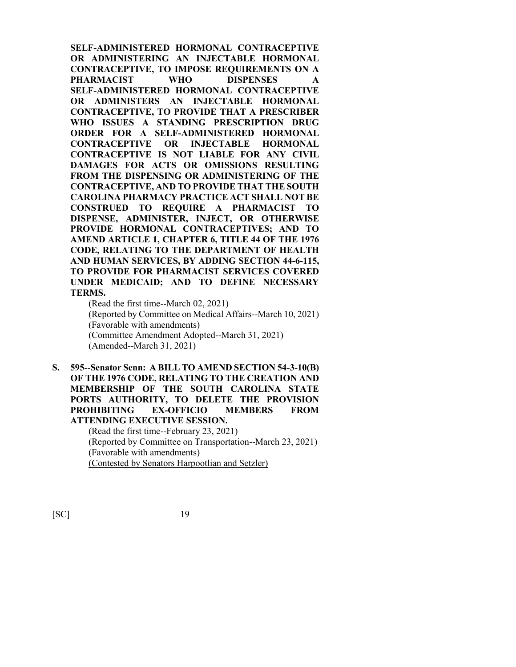**SELF-ADMINISTERED HORMONAL CONTRACEPTIVE OR ADMINISTERING AN INJECTABLE HORMONAL CONTRACEPTIVE, TO IMPOSE REQUIREMENTS ON A PHARMACIST WHO DISPENSES A SELF-ADMINISTERED HORMONAL CONTRACEPTIVE OR ADMINISTERS AN INJECTABLE HORMONAL CONTRACEPTIVE, TO PROVIDE THAT A PRESCRIBER WHO ISSUES A STANDING PRESCRIPTION DRUG ORDER FOR A SELF-ADMINISTERED HORMONAL CONTRACEPTIVE OR INJECTABLE HORMONAL CONTRACEPTIVE IS NOT LIABLE FOR ANY CIVIL DAMAGES FOR ACTS OR OMISSIONS RESULTING FROM THE DISPENSING OR ADMINISTERING OF THE CONTRACEPTIVE, AND TO PROVIDE THAT THE SOUTH CAROLINA PHARMACY PRACTICE ACT SHALL NOT BE CONSTRUED TO REQUIRE A PHARMACIST TO DISPENSE, ADMINISTER, INJECT, OR OTHERWISE PROVIDE HORMONAL CONTRACEPTIVES; AND TO AMEND ARTICLE 1, CHAPTER 6, TITLE 44 OF THE 1976 CODE, RELATING TO THE DEPARTMENT OF HEALTH AND HUMAN SERVICES, BY ADDING SECTION 44-6-115, TO PROVIDE FOR PHARMACIST SERVICES COVERED UNDER MEDICAID; AND TO DEFINE NECESSARY TERMS.**

(Read the first time--March 02, 2021) (Reported by Committee on Medical Affairs--March 10, 2021) (Favorable with amendments) (Committee Amendment Adopted--March 31, 2021) (Amended--March 31, 2021)

**S. 595--Senator Senn: A BILL TO AMEND SECTION 54-3-10(B) OF THE 1976 CODE, RELATING TO THE CREATION AND MEMBERSHIP OF THE SOUTH CAROLINA STATE PORTS AUTHORITY, TO DELETE THE PROVISION PROHIBITING EX-OFFICIO MEMBERS FROM ATTENDING EXECUTIVE SESSION.**

> (Read the first time--February 23, 2021) (Reported by Committee on Transportation--March 23, 2021) (Favorable with amendments) (Contested by Senators Harpootlian and Setzler)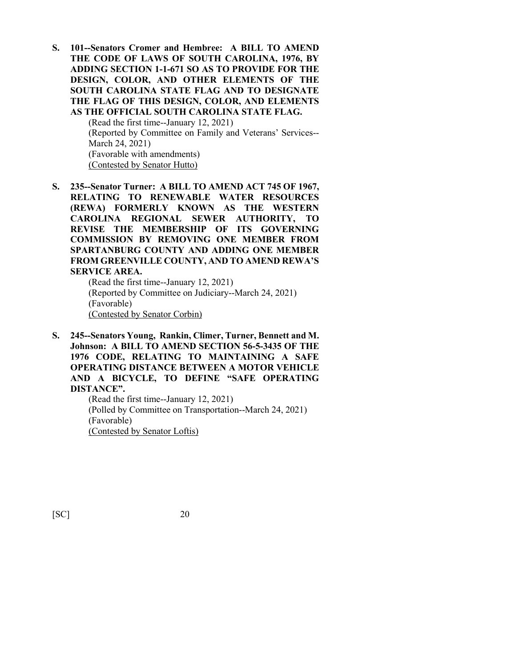**S. 101--Senators Cromer and Hembree: A BILL TO AMEND THE CODE OF LAWS OF SOUTH CAROLINA, 1976, BY ADDING SECTION 1-1-671 SO AS TO PROVIDE FOR THE DESIGN, COLOR, AND OTHER ELEMENTS OF THE SOUTH CAROLINA STATE FLAG AND TO DESIGNATE THE FLAG OF THIS DESIGN, COLOR, AND ELEMENTS AS THE OFFICIAL SOUTH CAROLINA STATE FLAG.**

> (Read the first time--January 12, 2021) (Reported by Committee on Family and Veterans' Services-- March 24, 2021) (Favorable with amendments) (Contested by Senator Hutto)

**S. 235--Senator Turner: A BILL TO AMEND ACT 745 OF 1967, RELATING TO RENEWABLE WATER RESOURCES (REWA) FORMERLY KNOWN AS THE WESTERN CAROLINA REGIONAL SEWER AUTHORITY, TO REVISE THE MEMBERSHIP OF ITS GOVERNING COMMISSION BY REMOVING ONE MEMBER FROM SPARTANBURG COUNTY AND ADDING ONE MEMBER FROM GREENVILLE COUNTY, AND TO AMEND REWA'S SERVICE AREA.**

(Read the first time--January 12, 2021) (Reported by Committee on Judiciary--March 24, 2021) (Favorable) (Contested by Senator Corbin)

**S. 245--Senators Young, Rankin, Climer, Turner, Bennett and M. Johnson: A BILL TO AMEND SECTION 56-5-3435 OF THE 1976 CODE, RELATING TO MAINTAINING A SAFE OPERATING DISTANCE BETWEEN A MOTOR VEHICLE AND A BICYCLE, TO DEFINE "SAFE OPERATING DISTANCE".**

(Read the first time--January 12, 2021) (Polled by Committee on Transportation--March 24, 2021) (Favorable) (Contested by Senator Loftis)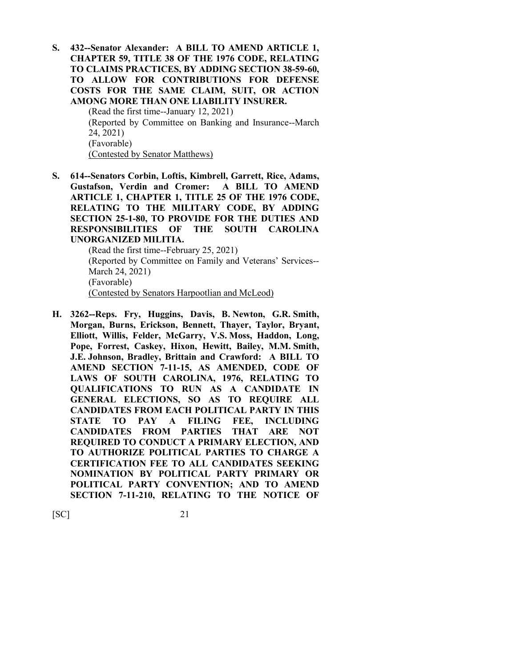**S. 432--Senator Alexander: A BILL TO AMEND ARTICLE 1, CHAPTER 59, TITLE 38 OF THE 1976 CODE, RELATING TO CLAIMS PRACTICES, BY ADDING SECTION 38-59-60, TO ALLOW FOR CONTRIBUTIONS FOR DEFENSE COSTS FOR THE SAME CLAIM, SUIT, OR ACTION AMONG MORE THAN ONE LIABILITY INSURER.**

(Read the first time--January 12, 2021) (Reported by Committee on Banking and Insurance--March 24, 2021) (Favorable) (Contested by Senator Matthews)

**S. 614--Senators Corbin, Loftis, Kimbrell, Garrett, Rice, Adams, Gustafson, Verdin and Cromer: A BILL TO AMEND ARTICLE 1, CHAPTER 1, TITLE 25 OF THE 1976 CODE, RELATING TO THE MILITARY CODE, BY ADDING SECTION 25-1-80, TO PROVIDE FOR THE DUTIES AND RESPONSIBILITIES OF THE SOUTH CAROLINA UNORGANIZED MILITIA.**

> (Read the first time--February 25, 2021) (Reported by Committee on Family and Veterans' Services-- March 24, 2021) (Favorable) (Contested by Senators Harpootlian and McLeod)

**H. 3262--Reps. Fry, Huggins, Davis, B. Newton, G.R. Smith, Morgan, Burns, Erickson, Bennett, Thayer, Taylor, Bryant, Elliott, Willis, Felder, McGarry, V.S. Moss, Haddon, Long, Pope, Forrest, Caskey, Hixon, Hewitt, Bailey, M.M. Smith, J.E. Johnson, Bradley, Brittain and Crawford: A BILL TO AMEND SECTION 7-11-15, AS AMENDED, CODE OF LAWS OF SOUTH CAROLINA, 1976, RELATING TO QUALIFICATIONS TO RUN AS A CANDIDATE IN GENERAL ELECTIONS, SO AS TO REQUIRE ALL CANDIDATES FROM EACH POLITICAL PARTY IN THIS STATE TO PAY A FILING FEE, INCLUDING CANDIDATES FROM PARTIES THAT ARE NOT REQUIRED TO CONDUCT A PRIMARY ELECTION, AND TO AUTHORIZE POLITICAL PARTIES TO CHARGE A CERTIFICATION FEE TO ALL CANDIDATES SEEKING NOMINATION BY POLITICAL PARTY PRIMARY OR POLITICAL PARTY CONVENTION; AND TO AMEND SECTION 7-11-210, RELATING TO THE NOTICE OF**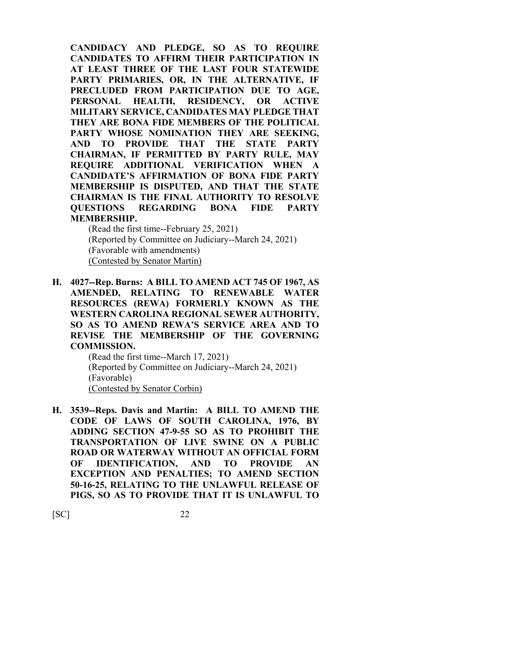**CANDIDACY AND PLEDGE, SO AS TO REQUIRE CANDIDATES TO AFFIRM THEIR PARTICIPATION IN AT LEAST THREE OF THE LAST FOUR STATEWIDE PARTY PRIMARIES, OR, IN THE ALTERNATIVE, IF PRECLUDED FROM PARTICIPATION DUE TO AGE, PERSONAL HEALTH, RESIDENCY, OR ACTIVE MILITARY SERVICE, CANDIDATES MAY PLEDGE THAT THEY ARE BONA FIDE MEMBERS OF THE POLITICAL PARTY WHOSE NOMINATION THEY ARE SEEKING, AND TO PROVIDE THAT THE STATE PARTY CHAIRMAN, IF PERMITTED BY PARTY RULE, MAY REQUIRE ADDITIONAL VERIFICATION WHEN A CANDIDATE'S AFFIRMATION OF BONA FIDE PARTY MEMBERSHIP IS DISPUTED, AND THAT THE STATE CHAIRMAN IS THE FINAL AUTHORITY TO RESOLVE QUESTIONS REGARDING BONA FIDE PARTY MEMBERSHIP.**

(Read the first time--February 25, 2021) (Reported by Committee on Judiciary--March 24, 2021) (Favorable with amendments) (Contested by Senator Martin)

**H. 4027--Rep. Burns: A BILL TO AMEND ACT 745 OF 1967, AS AMENDED, RELATING TO RENEWABLE WATER RESOURCES (REWA) FORMERLY KNOWN AS THE WESTERN CAROLINA REGIONAL SEWER AUTHORITY, SO AS TO AMEND REWA'S SERVICE AREA AND TO REVISE THE MEMBERSHIP OF THE GOVERNING COMMISSION.**

> (Read the first time--March 17, 2021) (Reported by Committee on Judiciary--March 24, 2021) (Favorable) (Contested by Senator Corbin)

**H. 3539--Reps. Davis and Martin: A BILL TO AMEND THE CODE OF LAWS OF SOUTH CAROLINA, 1976, BY ADDING SECTION 47-9-55 SO AS TO PROHIBIT THE TRANSPORTATION OF LIVE SWINE ON A PUBLIC ROAD OR WATERWAY WITHOUT AN OFFICIAL FORM OF IDENTIFICATION, AND TO PROVIDE AN EXCEPTION AND PENALTIES; TO AMEND SECTION 50-16-25, RELATING TO THE UNLAWFUL RELEASE OF PIGS, SO AS TO PROVIDE THAT IT IS UNLAWFUL TO**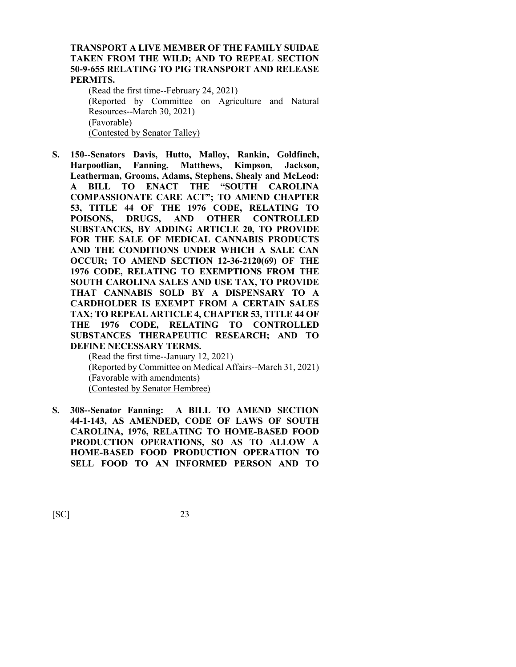#### **TRANSPORT A LIVE MEMBER OF THE FAMILY SUIDAE TAKEN FROM THE WILD; AND TO REPEAL SECTION 50-9-655 RELATING TO PIG TRANSPORT AND RELEASE PERMITS.**

(Read the first time--February 24, 2021) (Reported by Committee on Agriculture and Natural Resources--March 30, 2021) (Favorable) (Contested by Senator Talley)

**S. 150--Senators Davis, Hutto, Malloy, Rankin, Goldfinch, Harpootlian, Fanning, Matthews, Kimpson, Jackson, Leatherman, Grooms, Adams, Stephens, Shealy and McLeod: A BILL TO ENACT THE "SOUTH CAROLINA COMPASSIONATE CARE ACT"; TO AMEND CHAPTER 53, TITLE 44 OF THE 1976 CODE, RELATING TO PRUGS, AND OTHER CONTROLLED SUBSTANCES, BY ADDING ARTICLE 20, TO PROVIDE FOR THE SALE OF MEDICAL CANNABIS PRODUCTS AND THE CONDITIONS UNDER WHICH A SALE CAN OCCUR; TO AMEND SECTION 12-36-2120(69) OF THE 1976 CODE, RELATING TO EXEMPTIONS FROM THE SOUTH CAROLINA SALES AND USE TAX, TO PROVIDE THAT CANNABIS SOLD BY A DISPENSARY TO A CARDHOLDER IS EXEMPT FROM A CERTAIN SALES TAX; TO REPEAL ARTICLE 4, CHAPTER 53, TITLE 44 OF THE 1976 CODE, RELATING TO CONTROLLED SUBSTANCES THERAPEUTIC RESEARCH; AND TO DEFINE NECESSARY TERMS.**

(Read the first time--January 12, 2021) (Reported by Committee on Medical Affairs--March 31, 2021) (Favorable with amendments) (Contested by Senator Hembree)

**S. 308--Senator Fanning: A BILL TO AMEND SECTION 44-1-143, AS AMENDED, CODE OF LAWS OF SOUTH CAROLINA, 1976, RELATING TO HOME-BASED FOOD PRODUCTION OPERATIONS, SO AS TO ALLOW A HOME-BASED FOOD PRODUCTION OPERATION TO SELL FOOD TO AN INFORMED PERSON AND TO**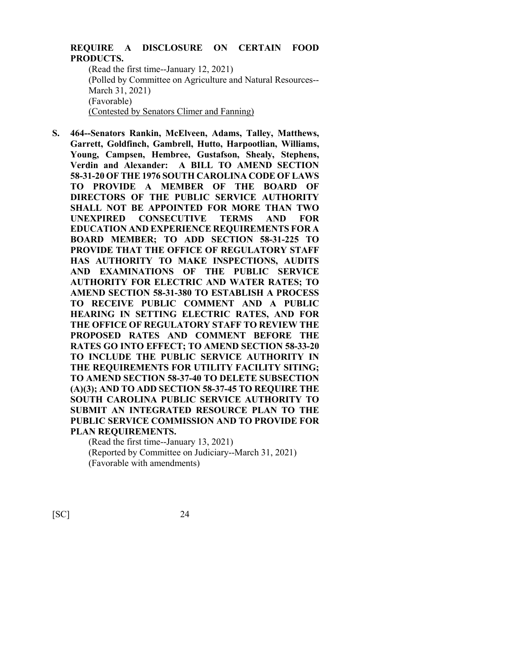### **REQUIRE A DISCLOSURE ON CERTAIN FOOD PRODUCTS.**

(Read the first time--January 12, 2021) (Polled by Committee on Agriculture and Natural Resources-- March 31, 2021) (Favorable) (Contested by Senators Climer and Fanning)

**S. 464--Senators Rankin, McElveen, Adams, Talley, Matthews, Garrett, Goldfinch, Gambrell, Hutto, Harpootlian, Williams, Young, Campsen, Hembree, Gustafson, Shealy, Stephens, Verdin and Alexander: A BILL TO AMEND SECTION 58-31-20 OF THE 1976 SOUTH CAROLINA CODE OF LAWS TO PROVIDE A MEMBER OF THE BOARD OF DIRECTORS OF THE PUBLIC SERVICE AUTHORITY SHALL NOT BE APPOINTED FOR MORE THAN TWO UNEXPIRED CONSECUTIVE TERMS AND FOR EDUCATION AND EXPERIENCE REQUIREMENTS FOR A BOARD MEMBER; TO ADD SECTION 58-31-225 TO PROVIDE THAT THE OFFICE OF REGULATORY STAFF HAS AUTHORITY TO MAKE INSPECTIONS, AUDITS AND EXAMINATIONS OF THE PUBLIC SERVICE AUTHORITY FOR ELECTRIC AND WATER RATES; TO AMEND SECTION 58-31-380 TO ESTABLISH A PROCESS TO RECEIVE PUBLIC COMMENT AND A PUBLIC HEARING IN SETTING ELECTRIC RATES, AND FOR THE OFFICE OF REGULATORY STAFF TO REVIEW THE PROPOSED RATES AND COMMENT BEFORE THE RATES GO INTO EFFECT; TO AMEND SECTION 58-33-20 TO INCLUDE THE PUBLIC SERVICE AUTHORITY IN THE REQUIREMENTS FOR UTILITY FACILITY SITING; TO AMEND SECTION 58-37-40 TO DELETE SUBSECTION (A)(3); AND TO ADD SECTION 58-37-45 TO REQUIRE THE SOUTH CAROLINA PUBLIC SERVICE AUTHORITY TO SUBMIT AN INTEGRATED RESOURCE PLAN TO THE PUBLIC SERVICE COMMISSION AND TO PROVIDE FOR PLAN REQUIREMENTS.**

(Read the first time--January 13, 2021) (Reported by Committee on Judiciary--March 31, 2021) (Favorable with amendments)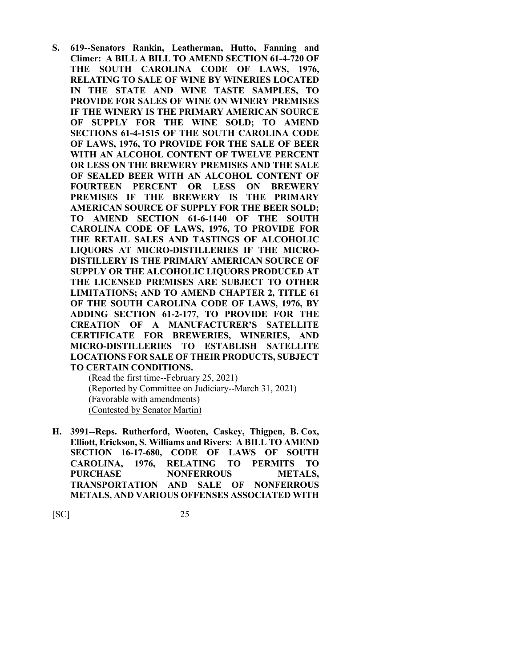**S. 619--Senators Rankin, Leatherman, Hutto, Fanning and Climer: A BILL A BILL TO AMEND SECTION 61-4-720 OF THE SOUTH CAROLINA CODE OF LAWS, 1976, RELATING TO SALE OF WINE BY WINERIES LOCATED IN THE STATE AND WINE TASTE SAMPLES, TO PROVIDE FOR SALES OF WINE ON WINERY PREMISES IF THE WINERY IS THE PRIMARY AMERICAN SOURCE OF SUPPLY FOR THE WINE SOLD; TO AMEND SECTIONS 61-4-1515 OF THE SOUTH CAROLINA CODE OF LAWS, 1976, TO PROVIDE FOR THE SALE OF BEER WITH AN ALCOHOL CONTENT OF TWELVE PERCENT OR LESS ON THE BREWERY PREMISES AND THE SALE OF SEALED BEER WITH AN ALCOHOL CONTENT OF FOURTEEN PERCENT OR LESS ON BREWERY PREMISES IF THE BREWERY IS THE PRIMARY AMERICAN SOURCE OF SUPPLY FOR THE BEER SOLD; TO AMEND SECTION 61-6-1140 OF THE SOUTH CAROLINA CODE OF LAWS, 1976, TO PROVIDE FOR THE RETAIL SALES AND TASTINGS OF ALCOHOLIC LIQUORS AT MICRO-DISTILLERIES IF THE MICRO-DISTILLERY IS THE PRIMARY AMERICAN SOURCE OF SUPPLY OR THE ALCOHOLIC LIQUORS PRODUCED AT THE LICENSED PREMISES ARE SUBJECT TO OTHER LIMITATIONS; AND TO AMEND CHAPTER 2, TITLE 61 OF THE SOUTH CAROLINA CODE OF LAWS, 1976, BY ADDING SECTION 61-2-177, TO PROVIDE FOR THE CREATION OF A MANUFACTURER'S SATELLITE CERTIFICATE FOR BREWERIES, WINERIES, AND MICRO-DISTILLERIES TO ESTABLISH SATELLITE LOCATIONS FOR SALE OF THEIR PRODUCTS, SUBJECT TO CERTAIN CONDITIONS.**

(Read the first time--February 25, 2021) (Reported by Committee on Judiciary--March 31, 2021) (Favorable with amendments) (Contested by Senator Martin)

**H. 3991--Reps. Rutherford, Wooten, Caskey, Thigpen, B. Cox, Elliott, Erickson, S. Williams and Rivers: A BILL TO AMEND SECTION 16-17-680, CODE OF LAWS OF SOUTH CAROLINA, 1976, RELATING TO PERMITS TO**  PURCHASE NONFERROUS METALS, **TRANSPORTATION AND SALE OF NONFERROUS METALS, AND VARIOUS OFFENSES ASSOCIATED WITH**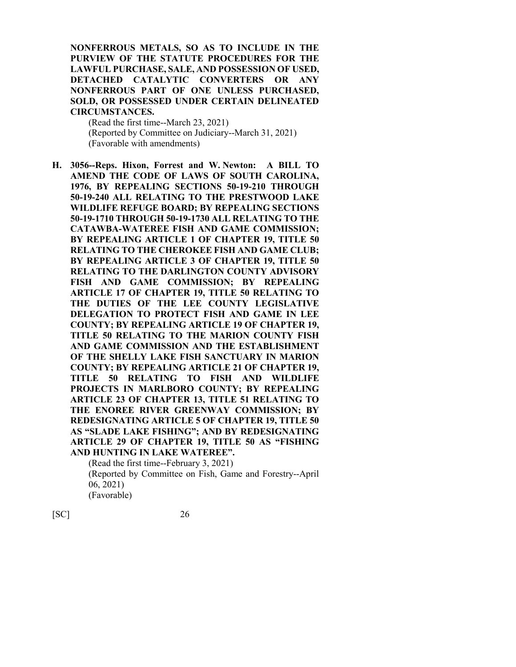**NONFERROUS METALS, SO AS TO INCLUDE IN THE PURVIEW OF THE STATUTE PROCEDURES FOR THE LAWFUL PURCHASE, SALE, AND POSSESSION OF USED, DETACHED CATALYTIC CONVERTERS OR ANY NONFERROUS PART OF ONE UNLESS PURCHASED, SOLD, OR POSSESSED UNDER CERTAIN DELINEATED CIRCUMSTANCES.**

(Read the first time--March 23, 2021) (Reported by Committee on Judiciary--March 31, 2021) (Favorable with amendments)

**H. 3056--Reps. Hixon, Forrest and W. Newton: A BILL TO AMEND THE CODE OF LAWS OF SOUTH CAROLINA, 1976, BY REPEALING SECTIONS 50-19-210 THROUGH 50-19-240 ALL RELATING TO THE PRESTWOOD LAKE WILDLIFE REFUGE BOARD; BY REPEALING SECTIONS 50-19-1710 THROUGH 50-19-1730 ALL RELATING TO THE CATAWBA-WATEREE FISH AND GAME COMMISSION; BY REPEALING ARTICLE 1 OF CHAPTER 19, TITLE 50 RELATING TO THE CHEROKEE FISH AND GAME CLUB; BY REPEALING ARTICLE 3 OF CHAPTER 19, TITLE 50 RELATING TO THE DARLINGTON COUNTY ADVISORY FISH AND GAME COMMISSION; BY REPEALING ARTICLE 17 OF CHAPTER 19, TITLE 50 RELATING TO THE DUTIES OF THE LEE COUNTY LEGISLATIVE DELEGATION TO PROTECT FISH AND GAME IN LEE COUNTY; BY REPEALING ARTICLE 19 OF CHAPTER 19, TITLE 50 RELATING TO THE MARION COUNTY FISH AND GAME COMMISSION AND THE ESTABLISHMENT OF THE SHELLY LAKE FISH SANCTUARY IN MARION COUNTY; BY REPEALING ARTICLE 21 OF CHAPTER 19, TITLE 50 RELATING TO FISH AND WILDLIFE PROJECTS IN MARLBORO COUNTY; BY REPEALING ARTICLE 23 OF CHAPTER 13, TITLE 51 RELATING TO THE ENOREE RIVER GREENWAY COMMISSION; BY REDESIGNATING ARTICLE 5 OF CHAPTER 19, TITLE 50 AS "SLADE LAKE FISHING"; AND BY REDESIGNATING ARTICLE 29 OF CHAPTER 19, TITLE 50 AS "FISHING AND HUNTING IN LAKE WATEREE".**

(Read the first time--February 3, 2021) (Reported by Committee on Fish, Game and Forestry--April 06, 2021) (Favorable)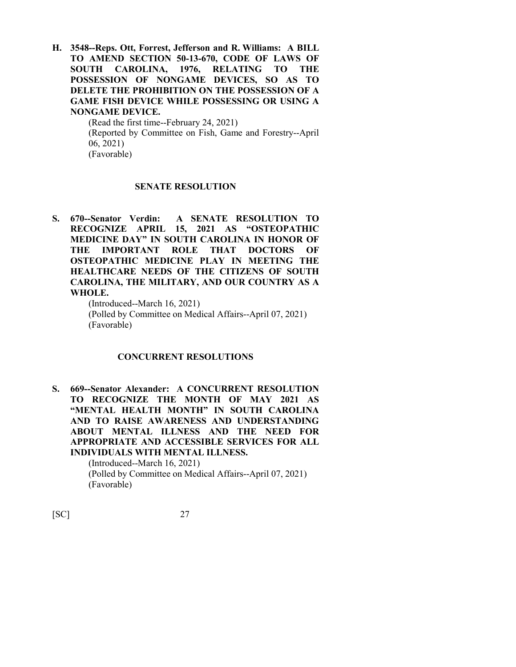**H. 3548--Reps. Ott, Forrest, Jefferson and R. Williams: A BILL TO AMEND SECTION 50-13-670, CODE OF LAWS OF SOUTH CAROLINA, 1976, RELATING TO THE POSSESSION OF NONGAME DEVICES, SO AS TO DELETE THE PROHIBITION ON THE POSSESSION OF A GAME FISH DEVICE WHILE POSSESSING OR USING A NONGAME DEVICE.**

(Read the first time--February 24, 2021) (Reported by Committee on Fish, Game and Forestry--April 06, 2021) (Favorable)

#### **SENATE RESOLUTION**

**S. 670--Senator Verdin: A SENATE RESOLUTION TO RECOGNIZE APRIL 15, 2021 AS "OSTEOPATHIC MEDICINE DAY" IN SOUTH CAROLINA IN HONOR OF THE IMPORTANT ROLE THAT DOCTORS OF OSTEOPATHIC MEDICINE PLAY IN MEETING THE HEALTHCARE NEEDS OF THE CITIZENS OF SOUTH CAROLINA, THE MILITARY, AND OUR COUNTRY AS A WHOLE.**

> (Introduced--March 16, 2021) (Polled by Committee on Medical Affairs--April 07, 2021) (Favorable)

#### **CONCURRENT RESOLUTIONS**

**S. 669--Senator Alexander: A CONCURRENT RESOLUTION TO RECOGNIZE THE MONTH OF MAY 2021 AS "MENTAL HEALTH MONTH" IN SOUTH CAROLINA AND TO RAISE AWARENESS AND UNDERSTANDING ABOUT MENTAL ILLNESS AND THE NEED FOR APPROPRIATE AND ACCESSIBLE SERVICES FOR ALL INDIVIDUALS WITH MENTAL ILLNESS.**

(Introduced--March 16, 2021) (Polled by Committee on Medical Affairs--April 07, 2021) (Favorable)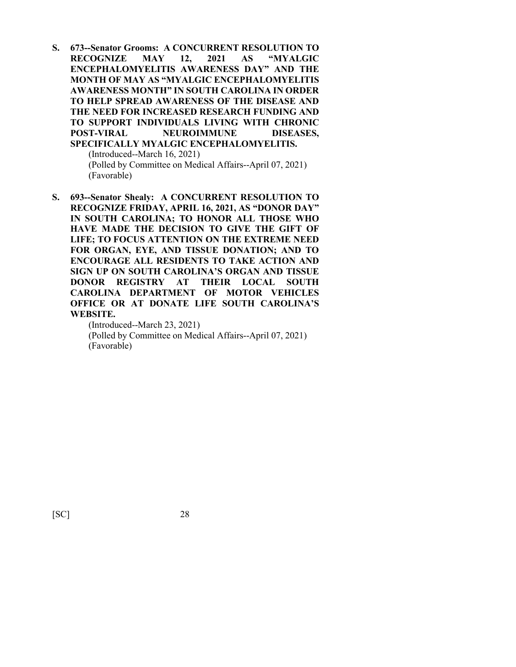**S. 673--Senator Grooms: A CONCURRENT RESOLUTION TO RECOGNIZE MAY 12, 2021 AS "MYALGIC ENCEPHALOMYELITIS AWARENESS DAY" AND THE MONTH OF MAY AS "MYALGIC ENCEPHALOMYELITIS AWARENESS MONTH" IN SOUTH CAROLINA IN ORDER TO HELP SPREAD AWARENESS OF THE DISEASE AND THE NEED FOR INCREASED RESEARCH FUNDING AND TO SUPPORT INDIVIDUALS LIVING WITH CHRONIC POST-VIRAL NEUROIMMUNE DISEASES, SPECIFICALLY MYALGIC ENCEPHALOMYELITIS.** (Introduced--March 16, 2021)

> (Polled by Committee on Medical Affairs--April 07, 2021) (Favorable)

**S. 693--Senator Shealy: A CONCURRENT RESOLUTION TO RECOGNIZE FRIDAY, APRIL 16, 2021, AS "DONOR DAY" IN SOUTH CAROLINA; TO HONOR ALL THOSE WHO HAVE MADE THE DECISION TO GIVE THE GIFT OF LIFE; TO FOCUS ATTENTION ON THE EXTREME NEED FOR ORGAN, EYE, AND TISSUE DONATION; AND TO ENCOURAGE ALL RESIDENTS TO TAKE ACTION AND SIGN UP ON SOUTH CAROLINA'S ORGAN AND TISSUE DONOR REGISTRY AT THEIR LOCAL SOUTH CAROLINA DEPARTMENT OF MOTOR VEHICLES OFFICE OR AT DONATE LIFE SOUTH CAROLINA'S WEBSITE.**

(Introduced--March 23, 2021) (Polled by Committee on Medical Affairs--April 07, 2021) (Favorable)